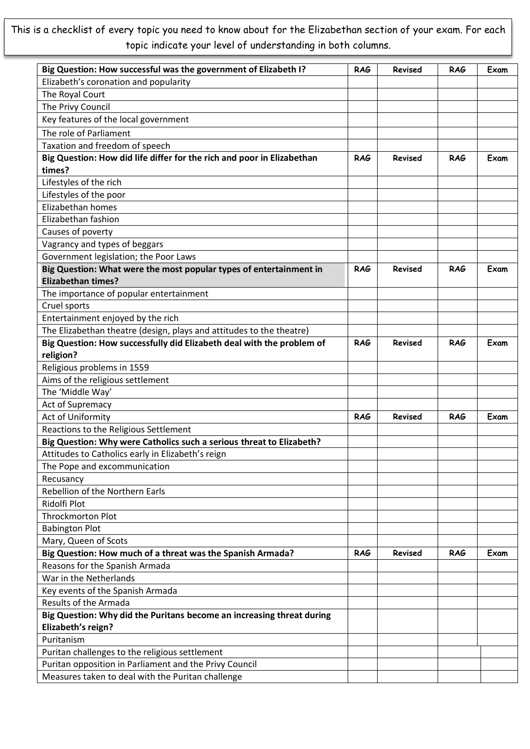This is a checklist of every topic you need to know about for the Elizabethan section of your exam. For each topic indicate your level of understanding in both columns.

| Big Question: How successful was the government of Elizabeth I?        | <b>RAG</b> | Revised        | <b>RAG</b> | Exam |
|------------------------------------------------------------------------|------------|----------------|------------|------|
| Elizabeth's coronation and popularity                                  |            |                |            |      |
| The Royal Court                                                        |            |                |            |      |
| The Privy Council                                                      |            |                |            |      |
| Key features of the local government                                   |            |                |            |      |
| The role of Parliament                                                 |            |                |            |      |
| Taxation and freedom of speech                                         |            |                |            |      |
| Big Question: How did life differ for the rich and poor in Elizabethan | <b>RAG</b> | <b>Revised</b> | RAG        | Exam |
| times?                                                                 |            |                |            |      |
| Lifestyles of the rich                                                 |            |                |            |      |
| Lifestyles of the poor                                                 |            |                |            |      |
| Elizabethan homes                                                      |            |                |            |      |
| Elizabethan fashion                                                    |            |                |            |      |
| Causes of poverty                                                      |            |                |            |      |
| Vagrancy and types of beggars                                          |            |                |            |      |
| Government legislation; the Poor Laws                                  |            |                |            |      |
| Big Question: What were the most popular types of entertainment in     | <b>RAG</b> | <b>Revised</b> | <b>RAG</b> | Exam |
| <b>Elizabethan times?</b>                                              |            |                |            |      |
| The importance of popular entertainment                                |            |                |            |      |
| Cruel sports                                                           |            |                |            |      |
| Entertainment enjoyed by the rich                                      |            |                |            |      |
| The Elizabethan theatre (design, plays and attitudes to the theatre)   |            |                |            |      |
| Big Question: How successfully did Elizabeth deal with the problem of  | <b>RAG</b> | <b>Revised</b> | <b>RAG</b> | Exam |
| religion?                                                              |            |                |            |      |
| Religious problems in 1559                                             |            |                |            |      |
| Aims of the religious settlement                                       |            |                |            |      |
| The 'Middle Way'                                                       |            |                |            |      |
| Act of Supremacy                                                       |            |                |            |      |
| Act of Uniformity                                                      | <b>RAG</b> | <b>Revised</b> | <b>RAG</b> | Exam |
| Reactions to the Religious Settlement                                  |            |                |            |      |
| Big Question: Why were Catholics such a serious threat to Elizabeth?   |            |                |            |      |
| Attitudes to Catholics early in Elizabeth's reign                      |            |                |            |      |
| The Pope and excommunication                                           |            |                |            |      |
| Recusancy                                                              |            |                |            |      |
| Rebellion of the Northern Earls                                        |            |                |            |      |
| Ridolfi Plot                                                           |            |                |            |      |
| <b>Throckmorton Plot</b>                                               |            |                |            |      |
| <b>Babington Plot</b>                                                  |            |                |            |      |
| Mary, Queen of Scots                                                   |            |                |            |      |
| Big Question: How much of a threat was the Spanish Armada?             | <b>RAG</b> | Revised        | <b>RAG</b> | Exam |
| Reasons for the Spanish Armada                                         |            |                |            |      |
| War in the Netherlands                                                 |            |                |            |      |
| Key events of the Spanish Armada                                       |            |                |            |      |
| Results of the Armada                                                  |            |                |            |      |
| Big Question: Why did the Puritans become an increasing threat during  |            |                |            |      |
| Elizabeth's reign?                                                     |            |                |            |      |
| Puritanism                                                             |            |                |            |      |
| Puritan challenges to the religious settlement                         |            |                |            |      |
| Puritan opposition in Parliament and the Privy Council                 |            |                |            |      |
| Measures taken to deal with the Puritan challenge                      |            |                |            |      |